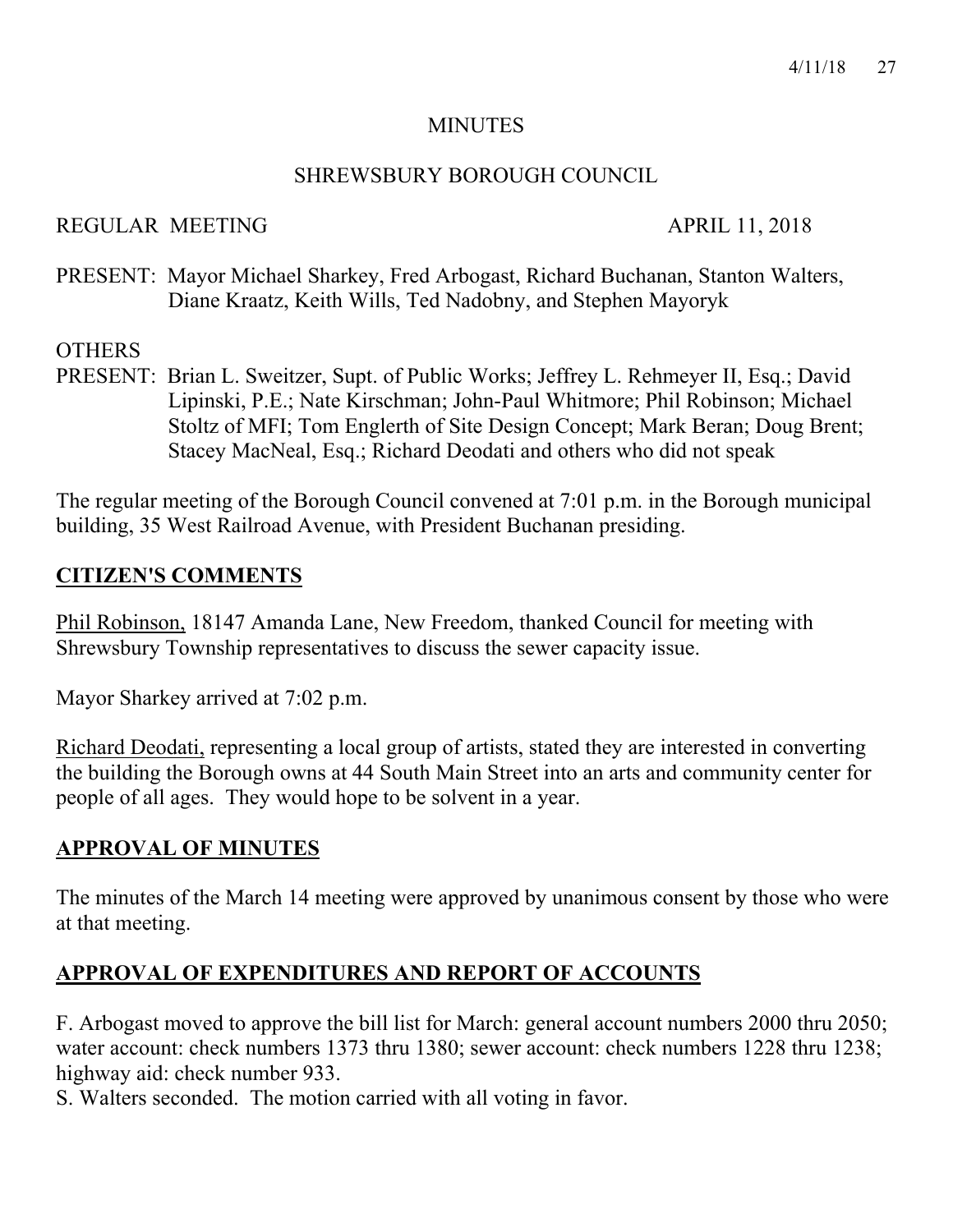#### **MINUTES**

### SHREWSBURY BOROUGH COUNCIL

# REGULAR MEETING APRIL 11, 2018

PRESENT: Mayor Michael Sharkey, Fred Arbogast, Richard Buchanan, Stanton Walters, Diane Kraatz, Keith Wills, Ted Nadobny, and Stephen Mayoryk

# **OTHERS**

PRESENT: Brian L. Sweitzer, Supt. of Public Works; Jeffrey L. Rehmeyer II, Esq.; David Lipinski, P.E.; Nate Kirschman; John-Paul Whitmore; Phil Robinson; Michael Stoltz of MFI; Tom Englerth of Site Design Concept; Mark Beran; Doug Brent; Stacey MacNeal, Esq.; Richard Deodati and others who did not speak

The regular meeting of the Borough Council convened at 7:01 p.m. in the Borough municipal building, 35 West Railroad Avenue, with President Buchanan presiding.

# **CITIZEN'S COMMENTS**

Phil Robinson, 18147 Amanda Lane, New Freedom, thanked Council for meeting with Shrewsbury Township representatives to discuss the sewer capacity issue.

Mayor Sharkey arrived at 7:02 p.m.

Richard Deodati, representing a local group of artists, stated they are interested in converting the building the Borough owns at 44 South Main Street into an arts and community center for people of all ages. They would hope to be solvent in a year.

# **APPROVAL OF MINUTES**

The minutes of the March 14 meeting were approved by unanimous consent by those who were at that meeting.

# **APPROVAL OF EXPENDITURES AND REPORT OF ACCOUNTS**

F. Arbogast moved to approve the bill list for March: general account numbers 2000 thru 2050; water account: check numbers 1373 thru 1380; sewer account: check numbers 1228 thru 1238; highway aid: check number 933.

S. Walters seconded. The motion carried with all voting in favor.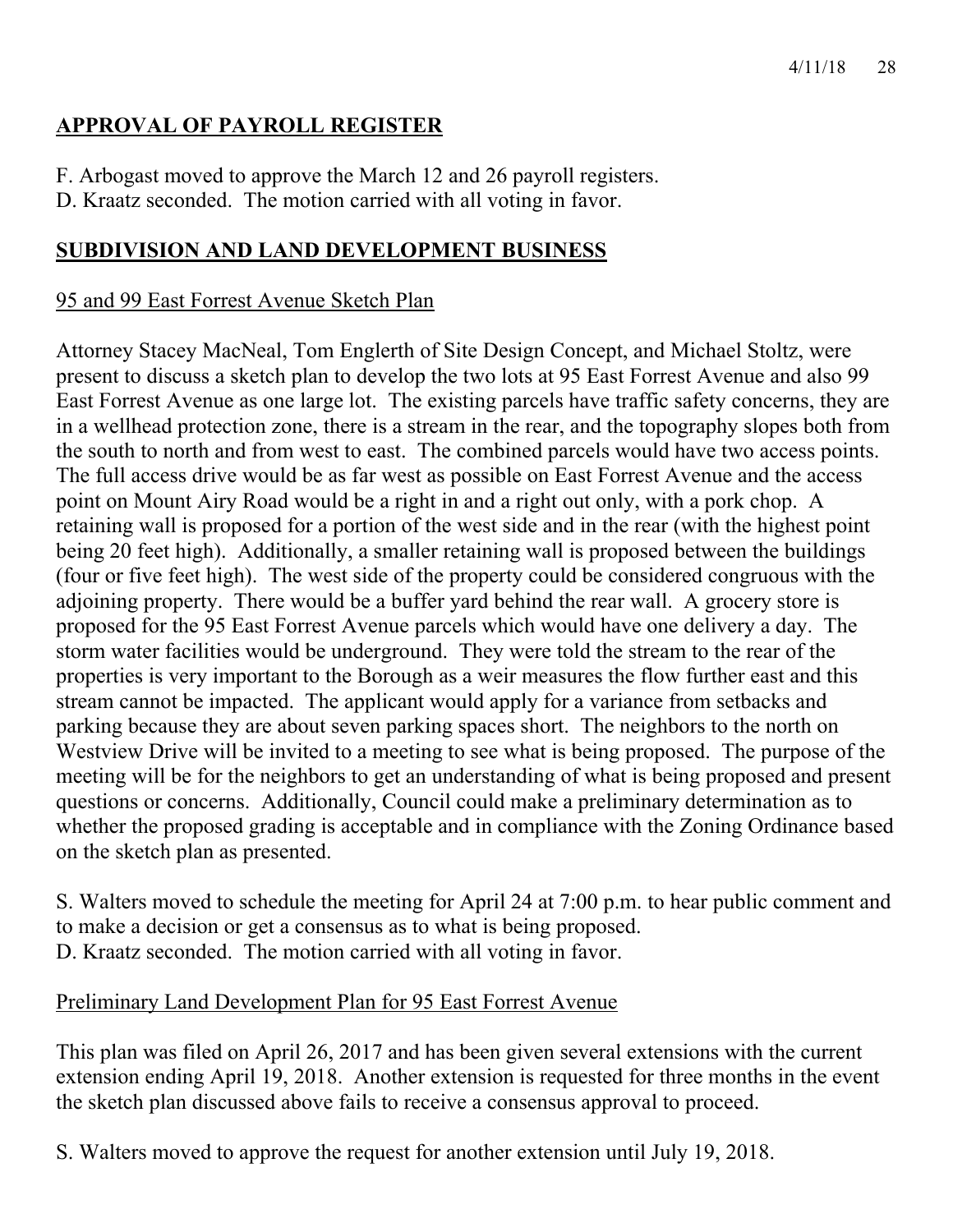# **APPROVAL OF PAYROLL REGISTER**

F. Arbogast moved to approve the March 12 and 26 payroll registers.

D. Kraatz seconded. The motion carried with all voting in favor.

# **SUBDIVISION AND LAND DEVELOPMENT BUSINESS**

# 95 and 99 East Forrest Avenue Sketch Plan

Attorney Stacey MacNeal, Tom Englerth of Site Design Concept, and Michael Stoltz, were present to discuss a sketch plan to develop the two lots at 95 East Forrest Avenue and also 99 East Forrest Avenue as one large lot. The existing parcels have traffic safety concerns, they are in a wellhead protection zone, there is a stream in the rear, and the topography slopes both from the south to north and from west to east. The combined parcels would have two access points. The full access drive would be as far west as possible on East Forrest Avenue and the access point on Mount Airy Road would be a right in and a right out only, with a pork chop. A retaining wall is proposed for a portion of the west side and in the rear (with the highest point being 20 feet high). Additionally, a smaller retaining wall is proposed between the buildings (four or five feet high). The west side of the property could be considered congruous with the adjoining property. There would be a buffer yard behind the rear wall. A grocery store is proposed for the 95 East Forrest Avenue parcels which would have one delivery a day. The storm water facilities would be underground. They were told the stream to the rear of the properties is very important to the Borough as a weir measures the flow further east and this stream cannot be impacted. The applicant would apply for a variance from setbacks and parking because they are about seven parking spaces short. The neighbors to the north on Westview Drive will be invited to a meeting to see what is being proposed. The purpose of the meeting will be for the neighbors to get an understanding of what is being proposed and present questions or concerns. Additionally, Council could make a preliminary determination as to whether the proposed grading is acceptable and in compliance with the Zoning Ordinance based on the sketch plan as presented.

S. Walters moved to schedule the meeting for April 24 at 7:00 p.m. to hear public comment and to make a decision or get a consensus as to what is being proposed. D. Kraatz seconded. The motion carried with all voting in favor.

# Preliminary Land Development Plan for 95 East Forrest Avenue

This plan was filed on April 26, 2017 and has been given several extensions with the current extension ending April 19, 2018. Another extension is requested for three months in the event the sketch plan discussed above fails to receive a consensus approval to proceed.

S. Walters moved to approve the request for another extension until July 19, 2018.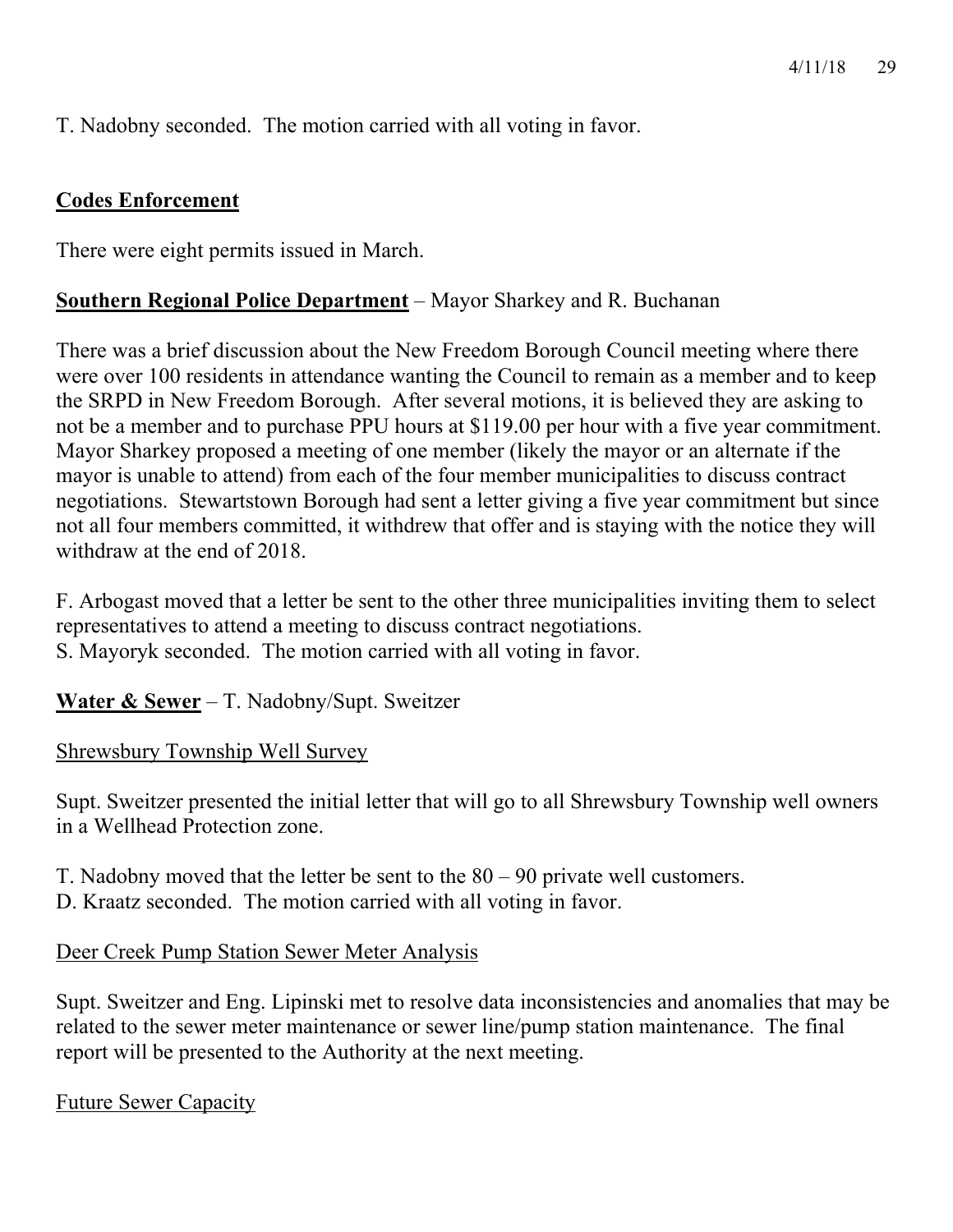T. Nadobny seconded. The motion carried with all voting in favor.

## **Codes Enforcement**

There were eight permits issued in March.

# **Southern Regional Police Department** – Mayor Sharkey and R. Buchanan

There was a brief discussion about the New Freedom Borough Council meeting where there were over 100 residents in attendance wanting the Council to remain as a member and to keep the SRPD in New Freedom Borough. After several motions, it is believed they are asking to not be a member and to purchase PPU hours at \$119.00 per hour with a five year commitment. Mayor Sharkey proposed a meeting of one member (likely the mayor or an alternate if the mayor is unable to attend) from each of the four member municipalities to discuss contract negotiations. Stewartstown Borough had sent a letter giving a five year commitment but since not all four members committed, it withdrew that offer and is staying with the notice they will withdraw at the end of 2018.

F. Arbogast moved that a letter be sent to the other three municipalities inviting them to select representatives to attend a meeting to discuss contract negotiations. S. Mayoryk seconded. The motion carried with all voting in favor.

**Water & Sewer** – T. Nadobny/Supt. Sweitzer

Shrewsbury Township Well Survey

Supt. Sweitzer presented the initial letter that will go to all Shrewsbury Township well owners in a Wellhead Protection zone.

T. Nadobny moved that the letter be sent to the 80 – 90 private well customers.

D. Kraatz seconded. The motion carried with all voting in favor.

Deer Creek Pump Station Sewer Meter Analysis

Supt. Sweitzer and Eng. Lipinski met to resolve data inconsistencies and anomalies that may be related to the sewer meter maintenance or sewer line/pump station maintenance. The final report will be presented to the Authority at the next meeting.

Future Sewer Capacity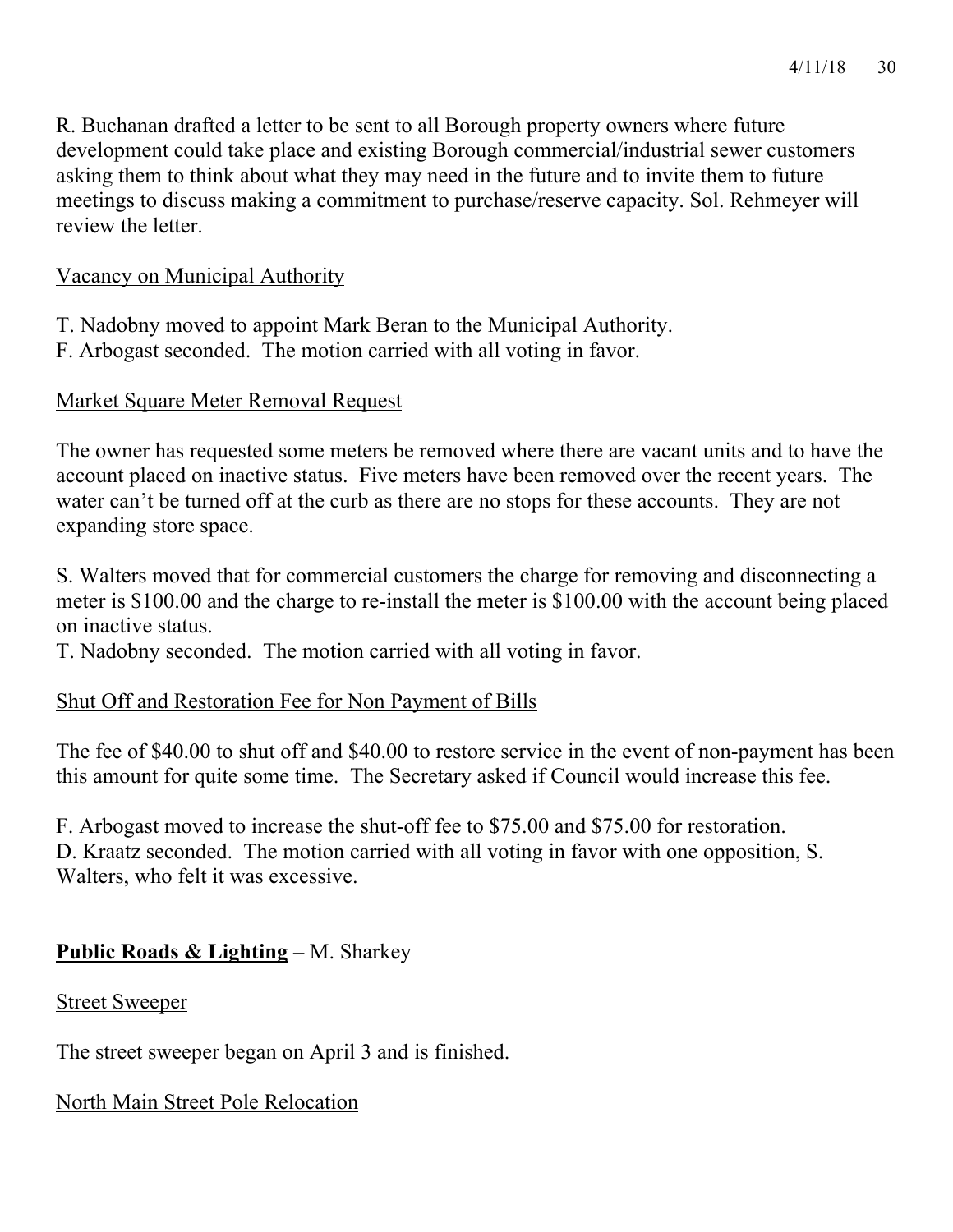R. Buchanan drafted a letter to be sent to all Borough property owners where future development could take place and existing Borough commercial/industrial sewer customers asking them to think about what they may need in the future and to invite them to future meetings to discuss making a commitment to purchase/reserve capacity. Sol. Rehmeyer will review the letter.

#### Vacancy on Municipal Authority

- T. Nadobny moved to appoint Mark Beran to the Municipal Authority.
- F. Arbogast seconded. The motion carried with all voting in favor.

#### Market Square Meter Removal Request

The owner has requested some meters be removed where there are vacant units and to have the account placed on inactive status. Five meters have been removed over the recent years. The water can't be turned off at the curb as there are no stops for these accounts. They are not expanding store space.

S. Walters moved that for commercial customers the charge for removing and disconnecting a meter is \$100.00 and the charge to re-install the meter is \$100.00 with the account being placed on inactive status.

T. Nadobny seconded. The motion carried with all voting in favor.

#### Shut Off and Restoration Fee for Non Payment of Bills

The fee of \$40.00 to shut off and \$40.00 to restore service in the event of non-payment has been this amount for quite some time. The Secretary asked if Council would increase this fee.

F. Arbogast moved to increase the shut-off fee to \$75.00 and \$75.00 for restoration. D. Kraatz seconded. The motion carried with all voting in favor with one opposition, S. Walters, who felt it was excessive.

# **Public Roads & Lighting** – M. Sharkey

#### Street Sweeper

The street sweeper began on April 3 and is finished.

#### North Main Street Pole Relocation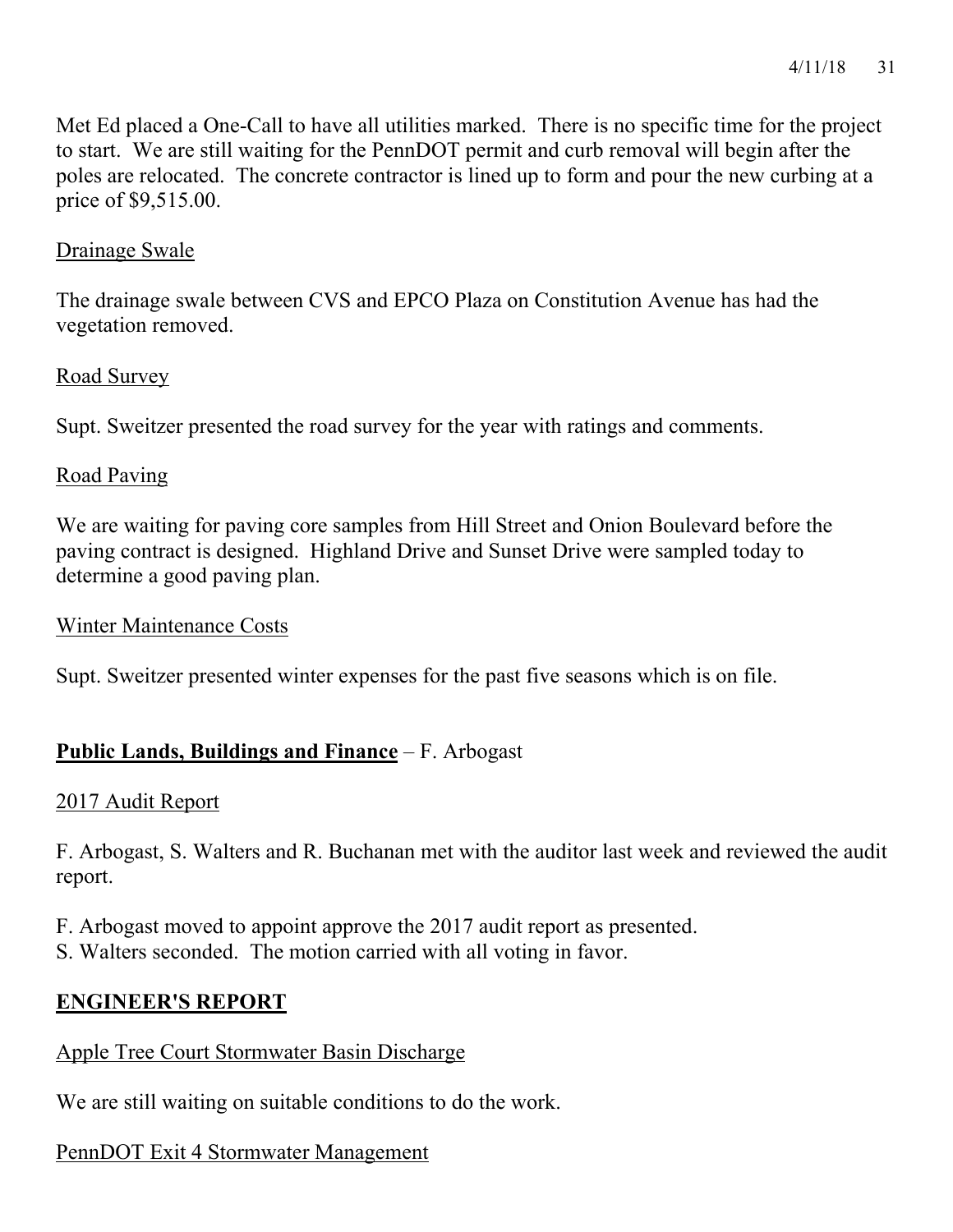Met Ed placed a One-Call to have all utilities marked. There is no specific time for the project to start. We are still waiting for the PennDOT permit and curb removal will begin after the poles are relocated. The concrete contractor is lined up to form and pour the new curbing at a price of \$9,515.00.

#### Drainage Swale

The drainage swale between CVS and EPCO Plaza on Constitution Avenue has had the vegetation removed.

#### Road Survey

Supt. Sweitzer presented the road survey for the year with ratings and comments.

### Road Paving

We are waiting for paving core samples from Hill Street and Onion Boulevard before the paving contract is designed. Highland Drive and Sunset Drive were sampled today to determine a good paving plan.

#### Winter Maintenance Costs

Supt. Sweitzer presented winter expenses for the past five seasons which is on file.

# **Public Lands, Buildings and Finance** – F. Arbogast

#### 2017 Audit Report

F. Arbogast, S. Walters and R. Buchanan met with the auditor last week and reviewed the audit report.

F. Arbogast moved to appoint approve the 2017 audit report as presented.

S. Walters seconded. The motion carried with all voting in favor.

# **ENGINEER'S REPORT**

# Apple Tree Court Stormwater Basin Discharge

We are still waiting on suitable conditions to do the work.

# PennDOT Exit 4 Stormwater Management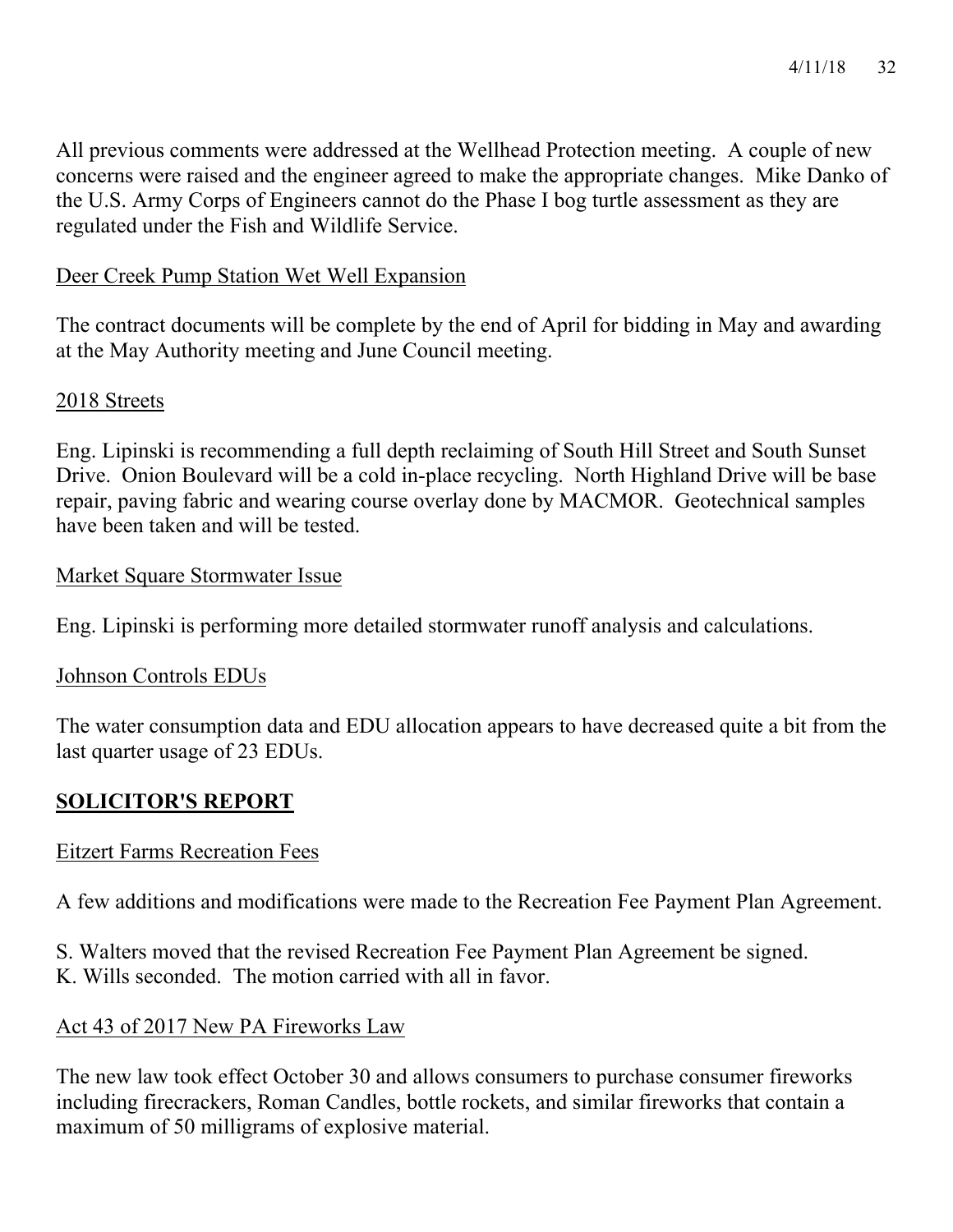All previous comments were addressed at the Wellhead Protection meeting. A couple of new concerns were raised and the engineer agreed to make the appropriate changes. Mike Danko of the U.S. Army Corps of Engineers cannot do the Phase I bog turtle assessment as they are regulated under the Fish and Wildlife Service.

### Deer Creek Pump Station Wet Well Expansion

The contract documents will be complete by the end of April for bidding in May and awarding at the May Authority meeting and June Council meeting.

#### 2018 Streets

Eng. Lipinski is recommending a full depth reclaiming of South Hill Street and South Sunset Drive. Onion Boulevard will be a cold in-place recycling. North Highland Drive will be base repair, paving fabric and wearing course overlay done by MACMOR. Geotechnical samples have been taken and will be tested.

#### Market Square Stormwater Issue

Eng. Lipinski is performing more detailed stormwater runoff analysis and calculations.

#### Johnson Controls EDUs

The water consumption data and EDU allocation appears to have decreased quite a bit from the last quarter usage of 23 EDUs.

# **SOLICITOR'S REPORT**

#### Eitzert Farms Recreation Fees

A few additions and modifications were made to the Recreation Fee Payment Plan Agreement.

S. Walters moved that the revised Recreation Fee Payment Plan Agreement be signed. K. Wills seconded. The motion carried with all in favor.

# Act 43 of 2017 New PA Fireworks Law

The new law took effect October 30 and allows consumers to purchase consumer fireworks including firecrackers, Roman Candles, bottle rockets, and similar fireworks that contain a maximum of 50 milligrams of explosive material.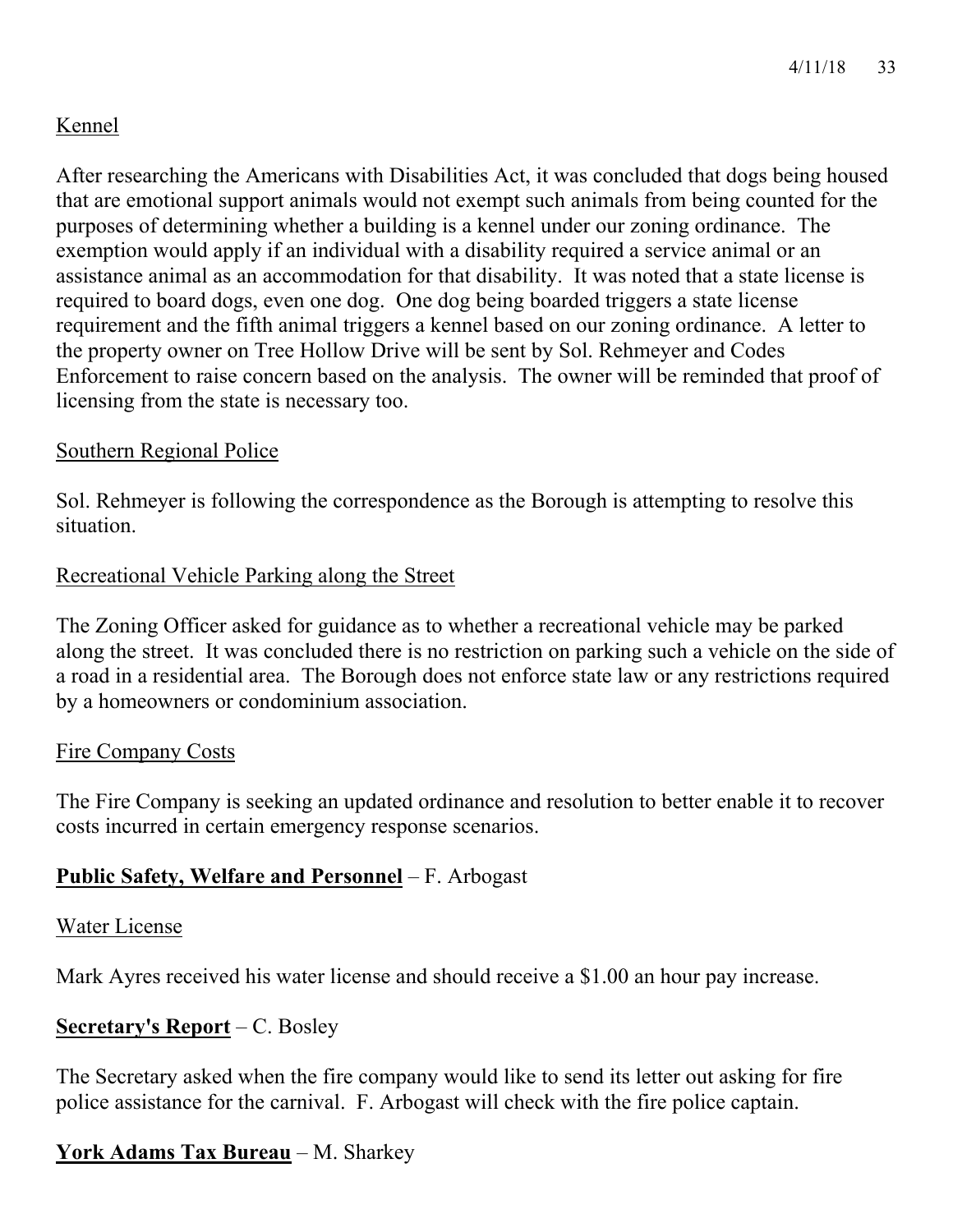# Kennel

After researching the Americans with Disabilities Act, it was concluded that dogs being housed that are emotional support animals would not exempt such animals from being counted for the purposes of determining whether a building is a kennel under our zoning ordinance. The exemption would apply if an individual with a disability required a service animal or an assistance animal as an accommodation for that disability. It was noted that a state license is required to board dogs, even one dog. One dog being boarded triggers a state license requirement and the fifth animal triggers a kennel based on our zoning ordinance. A letter to the property owner on Tree Hollow Drive will be sent by Sol. Rehmeyer and Codes Enforcement to raise concern based on the analysis. The owner will be reminded that proof of licensing from the state is necessary too.

# Southern Regional Police

Sol. Rehmeyer is following the correspondence as the Borough is attempting to resolve this situation.

### Recreational Vehicle Parking along the Street

The Zoning Officer asked for guidance as to whether a recreational vehicle may be parked along the street. It was concluded there is no restriction on parking such a vehicle on the side of a road in a residential area. The Borough does not enforce state law or any restrictions required by a homeowners or condominium association.

#### Fire Company Costs

The Fire Company is seeking an updated ordinance and resolution to better enable it to recover costs incurred in certain emergency response scenarios.

# **Public Safety, Welfare and Personnel** – F. Arbogast

#### Water License

Mark Ayres received his water license and should receive a \$1.00 an hour pay increase.

# **Secretary's Report** – C. Bosley

The Secretary asked when the fire company would like to send its letter out asking for fire police assistance for the carnival. F. Arbogast will check with the fire police captain.

# **York Adams Tax Bureau** – M. Sharkey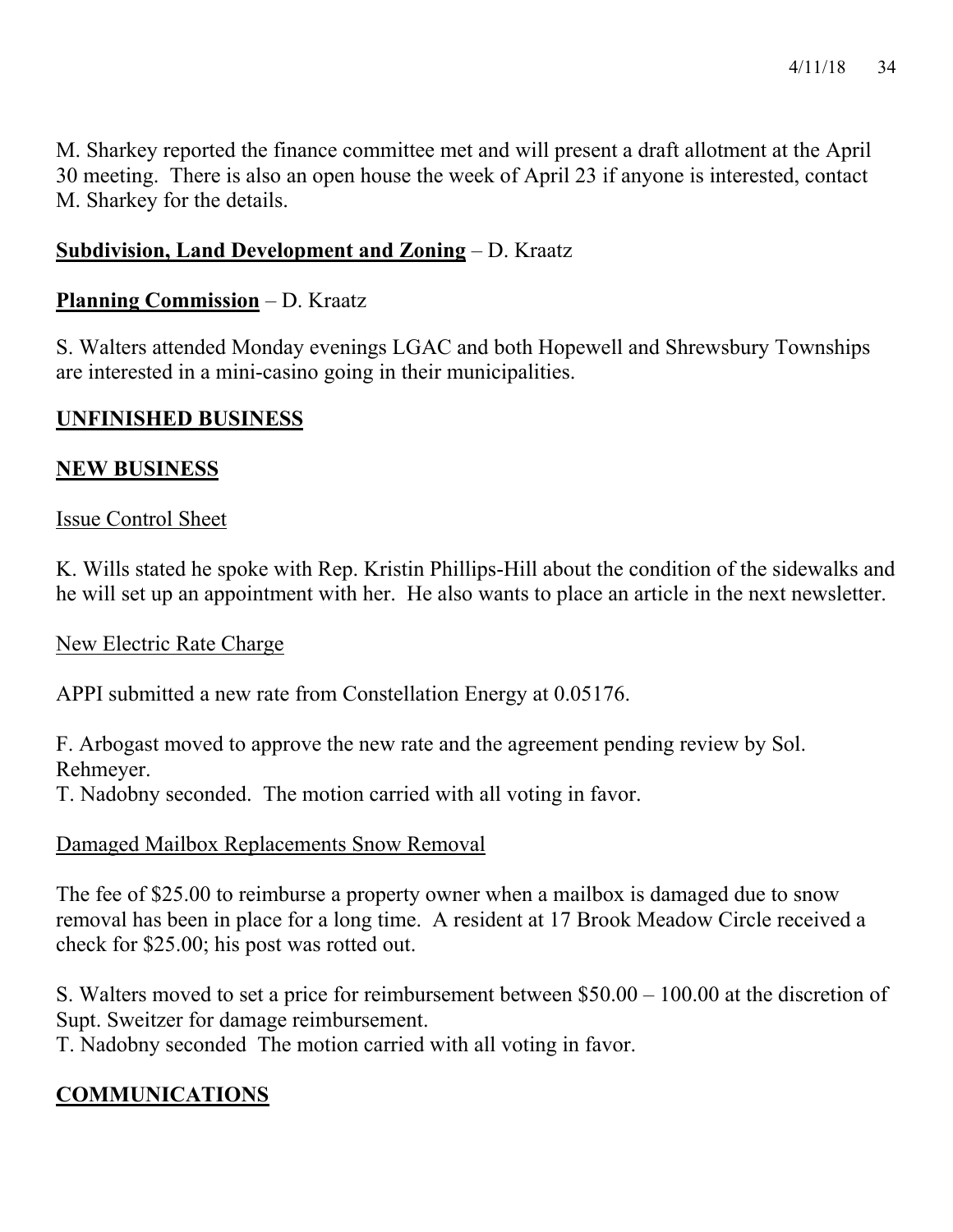M. Sharkey reported the finance committee met and will present a draft allotment at the April 30 meeting. There is also an open house the week of April 23 if anyone is interested, contact M. Sharkey for the details.

# **Subdivision, Land Development and Zoning** – D. Kraatz

# **Planning Commission** – D. Kraatz

S. Walters attended Monday evenings LGAC and both Hopewell and Shrewsbury Townships are interested in a mini-casino going in their municipalities.

# **UNFINISHED BUSINESS**

# **NEW BUSINESS**

# Issue Control Sheet

K. Wills stated he spoke with Rep. Kristin Phillips-Hill about the condition of the sidewalks and he will set up an appointment with her. He also wants to place an article in the next newsletter.

#### New Electric Rate Charge

APPI submitted a new rate from Constellation Energy at 0.05176.

F. Arbogast moved to approve the new rate and the agreement pending review by Sol. Rehmeyer.

T. Nadobny seconded. The motion carried with all voting in favor.

# Damaged Mailbox Replacements Snow Removal

The fee of \$25.00 to reimburse a property owner when a mailbox is damaged due to snow removal has been in place for a long time. A resident at 17 Brook Meadow Circle received a check for \$25.00; his post was rotted out.

S. Walters moved to set a price for reimbursement between \$50.00 – 100.00 at the discretion of Supt. Sweitzer for damage reimbursement.

T. Nadobny seconded The motion carried with all voting in favor.

# **COMMUNICATIONS**